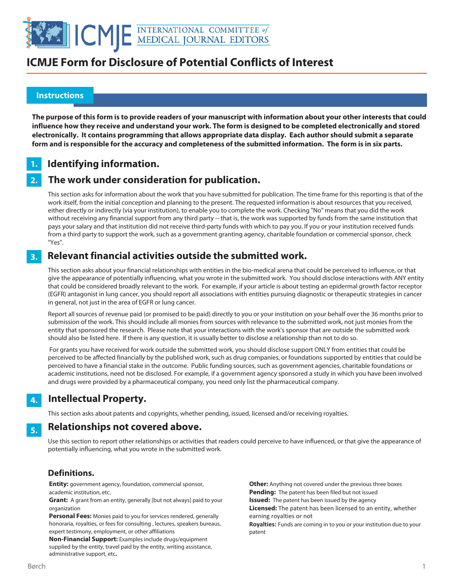

### **ICMJE Form for Disclosure of Potential Conflicts of Interest**

#### **Instructions**

֚֬

**The purpose of this form is to provide readers of your manuscript with information about your other interests that could influence how they receive and understand your work. The form is designed to be completed electronically and stored electronically. It contains programming that allows appropriate data display. Each author should submit a separate form and is responsible for the accuracy and completeness of the submitted information. The form is in six parts.** 

#### **Identifying information. 1.**

#### **The work under consideration for publication. 2.**

This section asks for information about the work that you have submitted for publication. The time frame for this reporting is that of the work itself, from the initial conception and planning to the present. The requested information is about resources that you received, either directly or indirectly (via your institution), to enable you to complete the work. Checking "No" means that you did the work without receiving any financial support from any third party -- that is, the work was supported by funds from the same institution that pays your salary and that institution did not receive third-party funds with which to pay you. If you or your institution received funds from a third party to support the work, such as a government granting agency, charitable foundation or commercial sponsor, check "Yes".

#### **Relevant financial activities outside the submitted work. 3.**

This section asks about your financial relationships with entities in the bio-medical arena that could be perceived to influence, or that give the appearance of potentially influencing, what you wrote in the submitted work. You should disclose interactions with ANY entity that could be considered broadly relevant to the work. For example, if your article is about testing an epidermal growth factor receptor (EGFR) antagonist in lung cancer, you should report all associations with entities pursuing diagnostic or therapeutic strategies in cancer in general, not just in the area of EGFR or lung cancer.

Report all sources of revenue paid (or promised to be paid) directly to you or your institution on your behalf over the 36 months prior to submission of the work. This should include all monies from sources with relevance to the submitted work, not just monies from the entity that sponsored the research. Please note that your interactions with the work's sponsor that are outside the submitted work should also be listed here. If there is any question, it is usually better to disclose a relationship than not to do so.

 For grants you have received for work outside the submitted work, you should disclose support ONLY from entities that could be perceived to be affected financially by the published work, such as drug companies, or foundations supported by entities that could be perceived to have a financial stake in the outcome. Public funding sources, such as government agencies, charitable foundations or academic institutions, need not be disclosed. For example, if a government agency sponsored a study in which you have been involved and drugs were provided by a pharmaceutical company, you need only list the pharmaceutical company.

#### **Intellectual Property. 4.**

This section asks about patents and copyrights, whether pending, issued, licensed and/or receiving royalties.

#### **Relationships not covered above. 5.**

Use this section to report other relationships or activities that readers could perceive to have influenced, or that give the appearance of potentially influencing, what you wrote in the submitted work.

### **Definitions.**

**Entity:** government agency, foundation, commercial sponsor, academic institution, etc.

**Grant:** A grant from an entity, generally [but not always] paid to your organization

**Personal Fees:** Monies paid to you for services rendered, generally honoraria, royalties, or fees for consulting , lectures, speakers bureaus, expert testimony, employment, or other affiliations

**Non-Financial Support:** Examples include drugs/equipment supplied by the entity, travel paid by the entity, writing assistance, administrative support, etc**.**

**Other:** Anything not covered under the previous three boxes **Pending:** The patent has been filed but not issued **Issued:** The patent has been issued by the agency **Licensed:** The patent has been licensed to an entity, whether earning royalties or not

**Royalties:** Funds are coming in to you or your institution due to your patent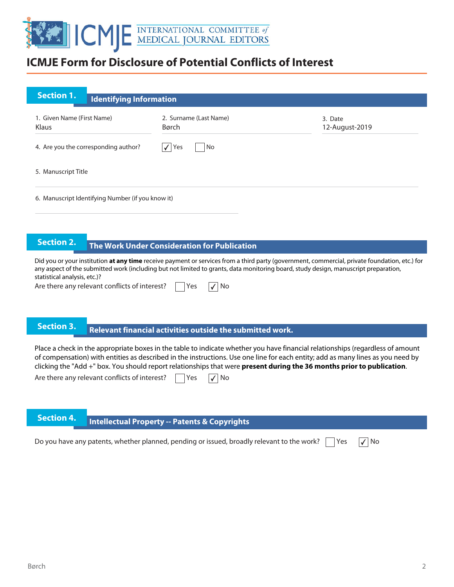

### **ICMJE Form for Disclosure of Potential Conflicts of Interest**

| <b>Section 1.</b><br><b>Identifying Information</b> |                                 |                           |
|-----------------------------------------------------|---------------------------------|---------------------------|
| 1. Given Name (First Name)<br>Klaus                 | 2. Surname (Last Name)<br>Børch | 3. Date<br>12-August-2019 |
| 4. Are you the corresponding author?                | No<br>$\sqrt{\vert \text{Yes}}$ |                           |
| 5. Manuscript Title                                 |                                 |                           |
| 6. Manuscript Identifying Number (if you know it)   |                                 |                           |

## **The Work Under Consideration for Publication**

Did you or your institution **at any time** receive payment or services from a third party (government, commercial, private foundation, etc.) for any aspect of the submitted work (including but not limited to grants, data monitoring board, study design, manuscript preparation, statistical analysis, etc.)?

| Are there any relevant conflicts of interest? |  | <b>Yes</b> |  | $\sqrt{ }$ No |
|-----------------------------------------------|--|------------|--|---------------|
|-----------------------------------------------|--|------------|--|---------------|

# **Relevant financial activities outside the submitted work. Section 3. Relevant financial activities outset**

Place a check in the appropriate boxes in the table to indicate whether you have financial relationships (regardless of amount of compensation) with entities as described in the instructions. Use one line for each entity; add as many lines as you need by clicking the "Add +" box. You should report relationships that were **present during the 36 months prior to publication**.

Are there any relevant conflicts of interest?  $\Box$  Yes  $\Box$  No

## **Intellectual Property -- Patents & Copyrights**

Do you have any patents, whether planned, pending or issued, broadly relevant to the work?  $\vert \ \vert$  Yes  $\vert \sqrt{\vert N}$